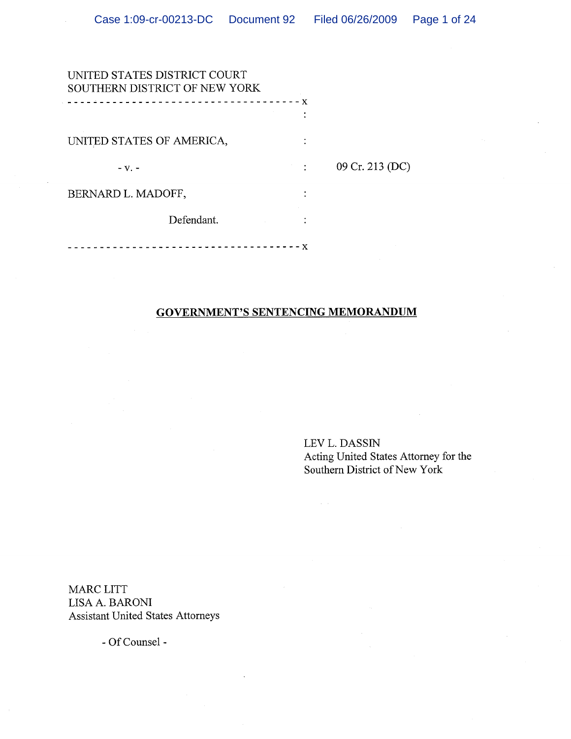| UNITED STATES DISTRICT COURT<br>SOUTHERN DISTRICT OF NEW YORK |     |                 |
|---------------------------------------------------------------|-----|-----------------|
|                                                               | – X |                 |
| UNITED STATES OF AMERICA,                                     |     |                 |
| $-V.$ -                                                       |     | 09 Cr. 213 (DC) |
| BERNARD L. MADOFF,                                            |     |                 |
| Defendant.                                                    |     |                 |
|                                                               | X   |                 |

## **GOVERNMENT'S SENTENCING MEMORANDUM**

LEV L. DASSIN Acting United States Attorney for the<br>Southern District of New York

MARC LITT LISA A. BARONI **Assistant United States Attorneys** 

- Of Counsel -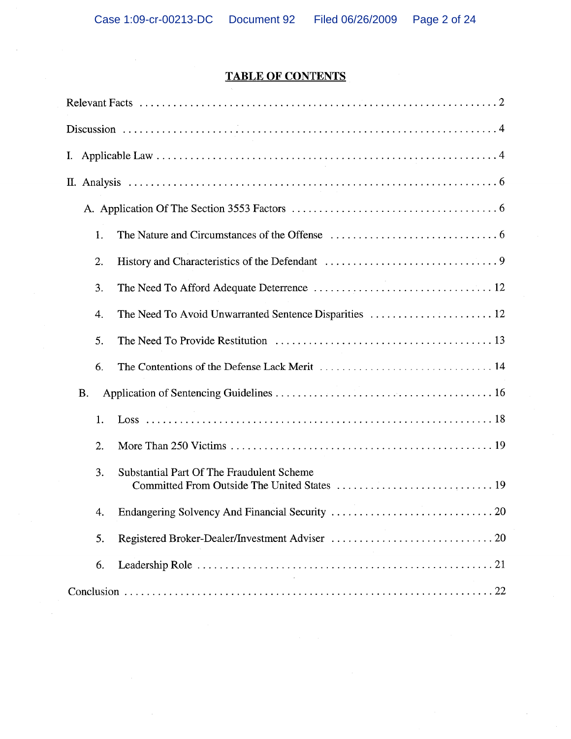# **TABLE OF CONTENTS**

| 1.                                                           |
|--------------------------------------------------------------|
| 2.                                                           |
| 3.                                                           |
| The Need To Avoid Unwarranted Sentence Disparities  12<br>4. |
| 5.                                                           |
| 6.                                                           |
| <b>B.</b>                                                    |
| 1.                                                           |
| 2.                                                           |
| 3.<br>Substantial Part Of The Fraudulent Scheme              |
| 4.                                                           |
| 5.                                                           |
| 6.                                                           |
|                                                              |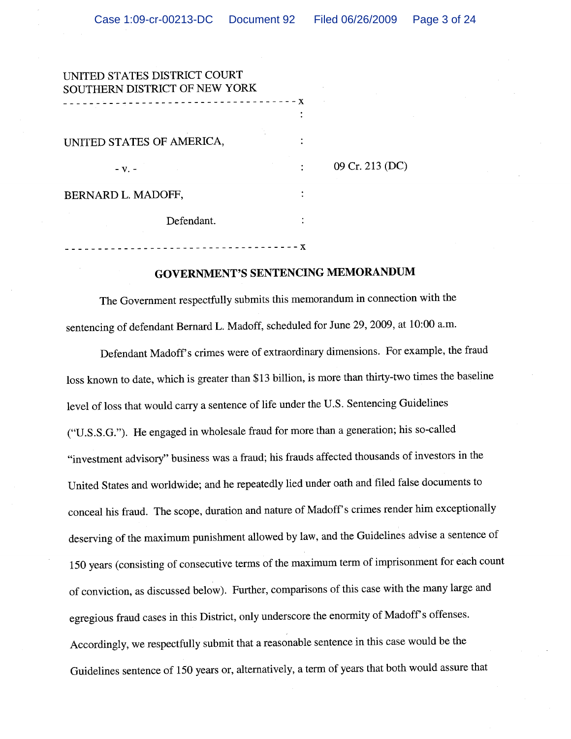| UNITED STATES DISTRICT COURT  |   |                 |
|-------------------------------|---|-----------------|
| SOUTHERN DISTRICT OF NEW YORK | X |                 |
|                               |   |                 |
| UNITED STATES OF AMERICA,     |   |                 |
| $-V.$                         |   | 09 Cr. 213 (DC) |
| BERNARD L. MADOFF,            |   |                 |
| Defendant.                    |   |                 |
|                               |   |                 |

-------------------------------------X

## **GOVERNMENT'S SENTENCING MEMORANDUM**

The Government respectfully submits this memorandum in connection with the sentencing of defendant Bernard L. Madoff, scheduled for June 29, 2009, at 10:00 a.m.

Defendant Madoff's crimes were of extraordinary dimensions. For example, the fraud loss known to date, which is greater than \$13 billion, is more than thirty-two times the baseline level of loss that would carry a sentence of life under the U.S. Sentencing Guidelines ("U.S.S.G."). He engaged in wholesale fraud for more than a generation; his so-called "investment advisory" business was a fraud; his frauds affected thousands of investors in the United States and worldwide; and he repeatedly lied under oath and filed false documents to conceal his fraud. The scope, duration and nature of Madoff's crimes render him exceptionally deserving of the maximum punishment allowed by law, and the Guidelines advise a sentence of 150 years (consisting of consecutive terms of the maximum term of imprisonment for each count of conviction, as discussed below). Further, comparisons of this case with the many large and egregious fraud cases in this District, only underscore the enormity of Madoff's offenses. Accordingly, we respectfully submit that a reasonable sentence in this case would be the Guidelines sentence of 150 years or, alternatively, a term of years that both would assure that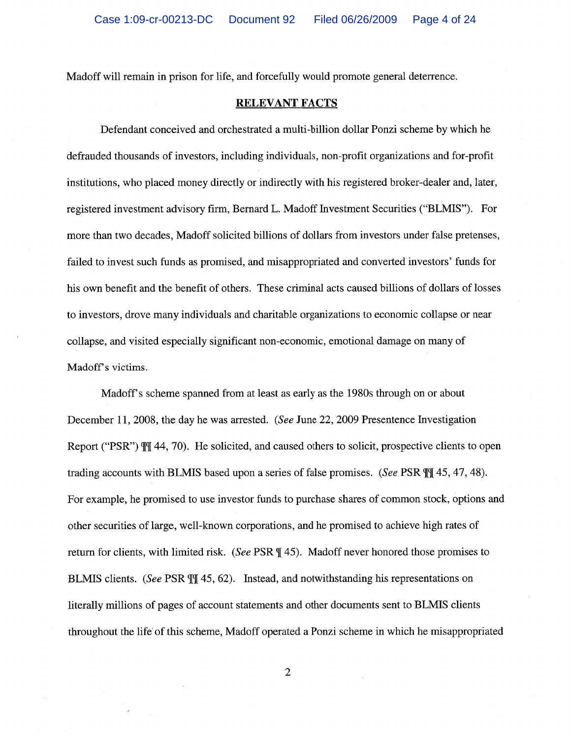Madoff will remain in prison for life, and forcefully would promote general deterrence.

### **RELEVANT FACTS**

Defendant conceived and orchestrated a multi-billion dollar Ponzi scheme by which he defrauded thousands of investors, including individuals, non-profit organizations and for-profit institutions, who placed money directly or indirectly with his registered broker-dealer and, later, registered investment advisory firm, Bernard L. Madoff Investment Securities ("BLMIS"). For more than two decades, Madoff solicited billions of dollars from investors under false pretenses, failed to invest such funds as promised, and misappropriated and converted investors' funds for his own benefit and the benefit of others. These criminal acts caused billions of dollars of losses to investors, drove many individuals and charitable organizations to economic collapse or near collapse, and visited especially significant non-economic, emotional damage on many of Madoff's victims.

Madoff's scheme spanned from at least as early as the 1980s through on or about December 11, 2008, the day he was arrested. (See June 22, 2009 Presentence Investigation Report ("PSR")  $\mathbb{M}$  44, 70). He solicited, and caused others to solicit, prospective clients to open trading accounts with BLMIS based upon a series of false promises. (See PSR TT 45, 47, 48). For example, he promised to use investor funds to purchase shares of common stock, options and other securities of large, well-known corporations, and he promised to achieve high rates of return for clients, with limited risk. (See PSR ¶ 45). Madoff never honored those promises to BLMIS clients. (See PSR T 45, 62). Instead, and notwithstanding his representations on literally millions of pages of account statements and other documents sent to BLMIS clients throughout the life of this scheme, Madoff operated a Ponzi scheme in which he misappropriated

 $\overline{2}$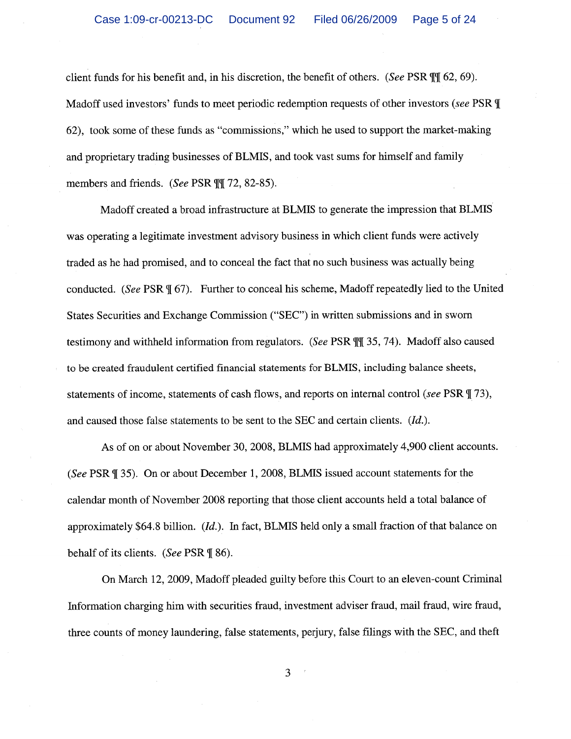client funds for his benefit and, in his discretion, the benefit of others. (See PSR  $\mathbb{II}$  62, 69). Madoff used investors' funds to meet periodic redemption requests of other investors (see PSR \[ 62), took some of these funds as "commissions," which he used to support the market-making and proprietary trading businesses of BLMIS, and took vast sums for himself and family members and friends. (See PSR  $\mathbb{II}$  72, 82-85).

Madoff created a broad infrastructure at BLMIS to generate the impression that BLMIS was operating a legitimate investment advisory business in which client funds were actively traded as he had promised, and to conceal the fact that no such business was actually being conducted. (See PSR \[ 67). Further to conceal his scheme, Madoff repeatedly lied to the United States Securities and Exchange Commission ("SEC") in written submissions and in sworn testimony and withheld information from regulators. (See PSR III 35, 74). Madoff also caused to be created fraudulent certified financial statements for BLMIS, including balance sheets, statements of income, statements of cash flows, and reports on internal control (see PSR \[ 73), and caused those false statements to be sent to the SEC and certain clients. (Id.).

As of on or about November 30, 2008, BLMIS had approximately 4,900 client accounts. (See PSR ¶ 35). On or about December 1, 2008, BLMIS issued account statements for the calendar month of November 2008 reporting that those client accounts held a total balance of approximately \$64.8 billion.  $(Id)$ . In fact, BLMIS held only a small fraction of that balance on behalf of its clients. (See PSR ¶ 86).

On March 12, 2009, Madoff pleaded guilty before this Court to an eleven-count Criminal Information charging him with securities fraud, investment adviser fraud, mail fraud, wire fraud, three counts of money laundering, false statements, perjury, false filings with the SEC, and theft

3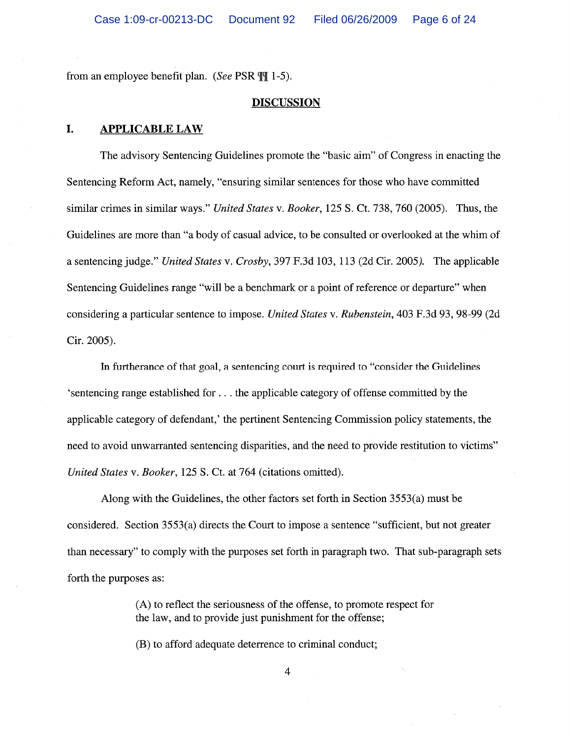from an employee benefit plan. (See PSR  $\P$ [ $\uparrow$  1-5).

### **DISCUSSION**

#### I. **APPLICABLE LAW**

The advisory Sentencing Guidelines promote the "basic aim" of Congress in enacting the Sentencing Reform Act, namely, "ensuring similar sentences for those who have committed similar crimes in similar ways." United States v. Booker, 125 S. Ct. 738, 760 (2005). Thus, the Guidelines are more than "a body of casual advice, to be consulted or overlooked at the whim of a sentencing judge." United States v. Crosby, 397 F.3d 103, 113 (2d Cir. 2005). The applicable Sentencing Guidelines range "will be a benchmark or a point of reference or departure" when considering a particular sentence to impose. United States v. Rubenstein, 403 F.3d 93, 98-99 (2d Cir. 2005).

In furtherance of that goal, a sentencing court is required to "consider the Guidelines" 's entencing range established for ... the applicable category of offense committed by the applicable category of defendant,' the pertinent Sentencing Commission policy statements, the need to avoid unwarranted sentencing disparities, and the need to provide restitution to victims" United States v. Booker, 125 S. Ct. at 764 (citations omitted).

Along with the Guidelines, the other factors set forth in Section 3553(a) must be considered. Section 3553(a) directs the Court to impose a sentence "sufficient, but not greater than necessary" to comply with the purposes set forth in paragraph two. That sub-paragraph sets forth the purposes as:

> (A) to reflect the seriousness of the offense, to promote respect for the law, and to provide just punishment for the offense;

(B) to afford adequate deterrence to criminal conduct;

 $\overline{4}$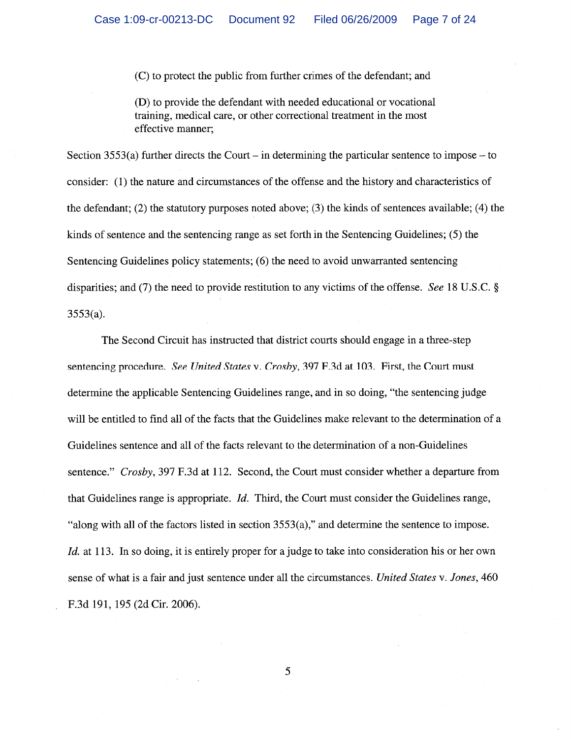(C) to protect the public from further crimes of the defendant; and

(D) to provide the defendant with needed educational or vocational training, medical care, or other correctional treatment in the most effective manner:

Section 3553(a) further directs the Court – in determining the particular sentence to impose – to consider: (1) the nature and circumstances of the offense and the history and characteristics of the defendant; (2) the statutory purposes noted above; (3) the kinds of sentences available; (4) the kinds of sentence and the sentencing range as set forth in the Sentencing Guidelines; (5) the Sentencing Guidelines policy statements; (6) the need to avoid unwarranted sentencing disparities; and (7) the need to provide restitution to any victims of the offense. See 18 U.S.C.  $\S$  $3553(a)$ .

The Second Circuit has instructed that district courts should engage in a three-step sentencing procedure. See United States v. Crosby, 397 F.3d at 103. First, the Court must determine the applicable Sentencing Guidelines range, and in so doing, "the sentencing judge will be entitled to find all of the facts that the Guidelines make relevant to the determination of a Guidelines sentence and all of the facts relevant to the determination of a non-Guidelines sentence." Crosby, 397 F.3d at 112. Second, the Court must consider whether a departure from that Guidelines range is appropriate. *Id.* Third, the Court must consider the Guidelines range, "along with all of the factors listed in section  $3553(a)$ ," and determine the sentence to impose. *Id.* at 113. In so doing, it is entirely proper for a judge to take into consideration his or her own sense of what is a fair and just sentence under all the circumstances. United States v. Jones, 460 F.3d 191, 195 (2d Cir. 2006).

5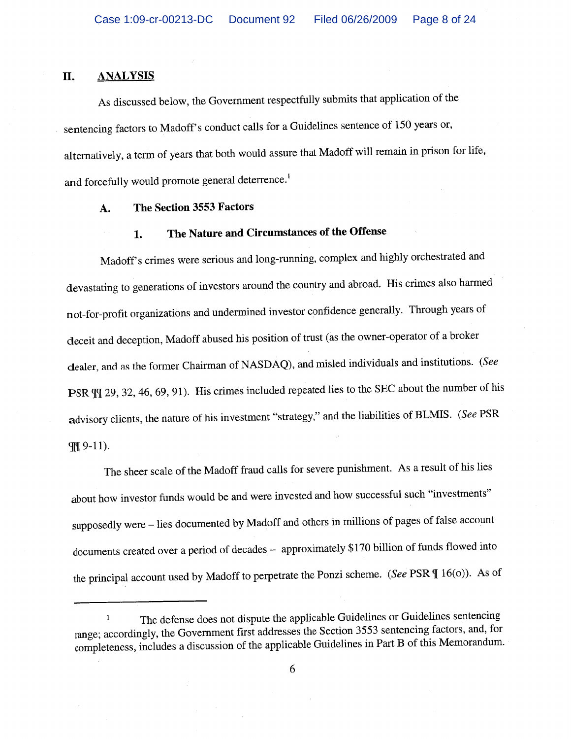#### II. **ANALYSIS**

As discussed below, the Government respectfully submits that application of the sentencing factors to Madoff's conduct calls for a Guidelines sentence of 150 years or, alternatively, a term of years that both would assure that Madoff will remain in prison for life, and forcefully would promote general deterrence.<sup>1</sup>

#### The Section 3553 Factors A.

### The Nature and Circumstances of the Offense 1.

Madoff's crimes were serious and long-running, complex and highly orchestrated and devastating to generations of investors around the country and abroad. His crimes also harmed not-for-profit organizations and undermined investor confidence generally. Through years of deceit and deception, Madoff abused his position of trust (as the owner-operator of a broker dealer, and as the former Chairman of NASDAQ), and misled individuals and institutions. (See PSR  $\mathbb{II}$  29, 32, 46, 69, 91). His crimes included repeated lies to the SEC about the number of his advisory clients, the nature of his investment "strategy," and the liabilities of BLMIS. (See PSR III 9-11).

The sheer scale of the Madoff fraud calls for severe punishment. As a result of his lies about how investor funds would be and were invested and how successful such "investments" supposedly were - lies documented by Madoff and others in millions of pages of false account documents created over a period of decades - approximately \$170 billion of funds flowed into the principal account used by Madoff to perpetrate the Ponzi scheme. (See PSR ¶ 16(o)). As of

The defense does not dispute the applicable Guidelines or Guidelines sentencing  $\mathbf{1}$ range; accordingly, the Government first addresses the Section 3553 sentencing factors, and, for completeness, includes a discussion of the applicable Guidelines in Part B of this Memorandum.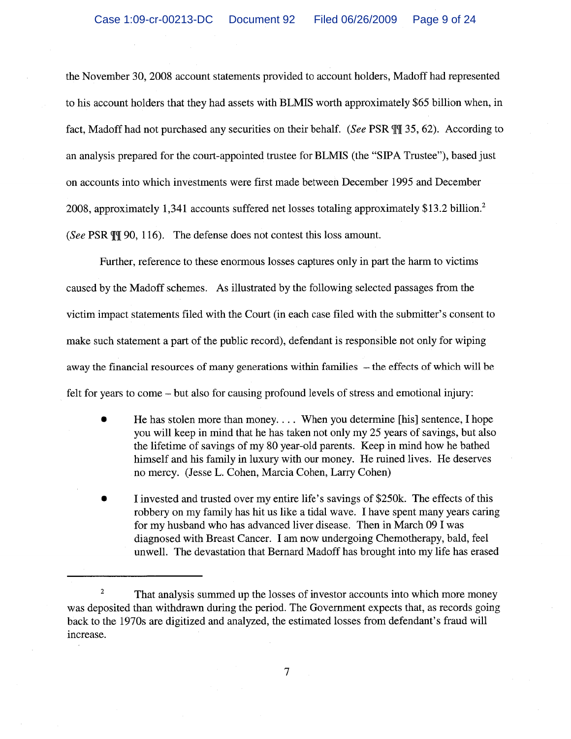the November 30, 2008 account statements provided to account holders, Madoff had represented to his account holders that they had assets with BLMIS worth approximately \$65 billion when, in fact, Madoff had not purchased any securities on their behalf. (See PSR TI 35, 62). According to an analysis prepared for the court-appointed trustee for BLMIS (the "SIPA Trustee"), based just on accounts into which investments were first made between December 1995 and December 2008, approximately 1,341 accounts suffered net losses totaling approximately \$13.2 billion.<sup>2</sup> (See PSR  $\mathbb{II}$  90, 116). The defense does not contest this loss amount.

Further, reference to these enormous losses captures only in part the harm to victims caused by the Madoff schemes. As illustrated by the following selected passages from the victim impact statements filed with the Court (in each case filed with the submitter's consent to make such statement a part of the public record), defendant is responsible not only for wiping away the financial resources of many generations within families – the effects of which will be felt for years to come – but also for causing profound levels of stress and emotional injury:

- Ò He has stolen more than money.... When you determine [his] sentence, I hope you will keep in mind that he has taken not only my 25 years of savings, but also the lifetime of savings of my 80 year-old parents. Keep in mind how he bathed himself and his family in luxury with our money. He ruined lives. He deserves no mercy. (Jesse L. Cohen, Marcia Cohen, Larry Cohen)
- I invested and trusted over my entire life's savings of \$250k. The effects of this robbery on my family has hit us like a tidal wave. I have spent many years caring for my husband who has advanced liver disease. Then in March 09 I was diagnosed with Breast Cancer. I am now undergoing Chemotherapy, bald, feel unwell. The devastation that Bernard Madoff has brought into my life has erased

 $\sqrt{2}$ That analysis summed up the losses of investor accounts into which more money was deposited than withdrawn during the period. The Government expects that, as records going back to the 1970s are digitized and analyzed, the estimated losses from defendant's fraud will increase.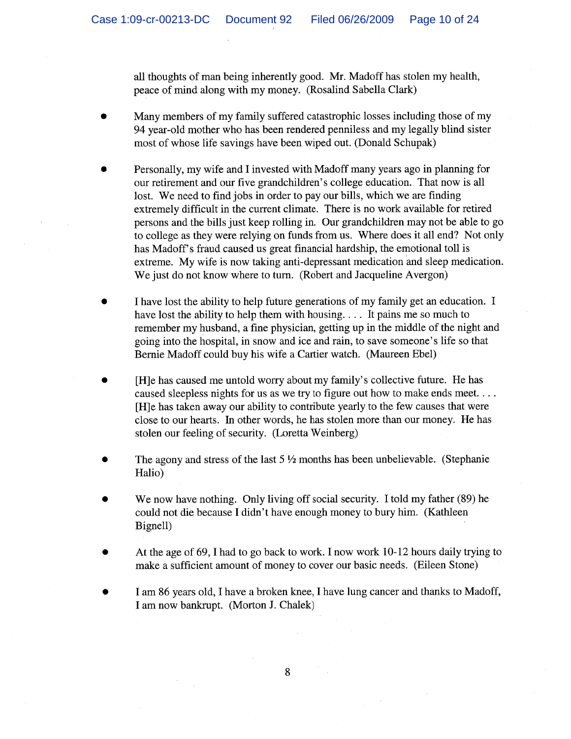all thoughts of man being inherently good. Mr. Madoff has stolen my health, peace of mind along with my money. (Rosalind Sabella Clark)

- Many members of my family suffered catastrophic losses including those of my 94 year-old mother who has been rendered penniless and my legally blind sister most of whose life savings have been wiped out. (Donald Schupak)
- Personally, my wife and I invested with Madoff many years ago in planning for our retirement and our five grandchildren's college education. That now is all lost. We need to find jobs in order to pay our bills, which we are finding extremely difficult in the current climate. There is no work available for retired persons and the bills just keep rolling in. Our grandchildren may not be able to go to college as they were relying on funds from us. Where does it all end? Not only has Madoff's fraud caused us great financial hardship, the emotional toll is extreme. My wife is now taking anti-depressant medication and sleep medication. We just do not know where to turn. (Robert and Jacqueline Avergon)
- I have lost the ability to help future generations of my family get an education. I have lost the ability to help them with housing.... It pains me so much to remember my husband, a fine physician, getting up in the middle of the night and going into the hospital, in snow and ice and rain, to save someone's life so that Bernie Madoff could buy his wife a Cartier watch. (Maureen Ebel)
- [H]e has caused me untold worry about my family's collective future. He has caused sleepless nights for us as we try to figure out how to make ends meet.... [H]e has taken away our ability to contribute yearly to the few causes that were close to our hearts. In other words, he has stolen more than our money. He has stolen our feeling of security. (Loretta Weinberg)
- The agony and stress of the last  $5\frac{1}{2}$  months has been unbelievable. (Stephanie Halio)
- We now have nothing. Only living off social security. I told my father (89) he could not die because I didn't have enough money to bury him. (Kathleen Bignell)
- At the age of 69, I had to go back to work. I now work 10-12 hours daily trying to make a sufficient amount of money to cover our basic needs. (Eileen Stone)
- I am 86 years old, I have a broken knee, I have lung cancer and thanks to Madoff, I am now bankrupt. (Morton J. Chalek)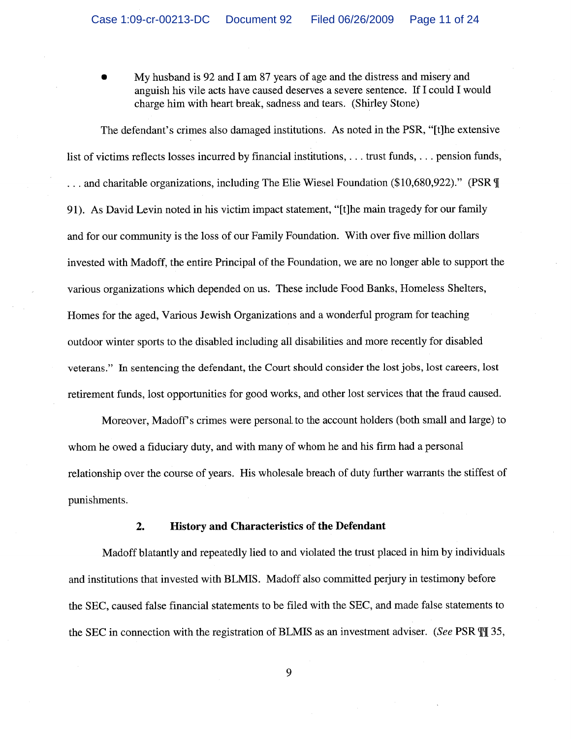My husband is 92 and I am 87 years of age and the distress and misery and anguish his vile acts have caused deserves a severe sentence. If I could I would charge him with heart break, sadness and tears. (Shirley Stone)

The defendant's crimes also damaged institutions. As noted in the PSR, "[t] he extensive list of victims reflects losses incurred by financial institutions, ... trust funds, ... pension funds, ... and charitable organizations, including The Elie Wiesel Foundation (\$10,680,922)." (PSR \[ 91). As David Levin noted in his victim impact statement, "[t]he main tragedy for our family and for our community is the loss of our Family Foundation. With over five million dollars invested with Madoff, the entire Principal of the Foundation, we are no longer able to support the various organizations which depended on us. These include Food Banks, Homeless Shelters, Homes for the aged, Various Jewish Organizations and a wonderful program for teaching outdoor winter sports to the disabled including all disabilities and more recently for disabled veterans." In sentencing the defendant, the Court should consider the lost jobs, lost careers, lost retirement funds, lost opportunities for good works, and other lost services that the fraud caused.

Moreover, Madoff's crimes were personal to the account holders (both small and large) to whom he owed a fiduciary duty, and with many of whom he and his firm had a personal relationship over the course of years. His wholesale breach of duty further warrants the stiffest of punishments.

#### **History and Characteristics of the Defendant**  $2.$

Madoff blatantly and repeatedly lied to and violated the trust placed in him by individuals and institutions that invested with BLMIS. Madoff also committed perjury in testimony before the SEC, caused false financial statements to be filed with the SEC, and made false statements to the SEC in connection with the registration of BLMIS as an investment adviser. (See PSR  $\mathbb{II}$  35,

9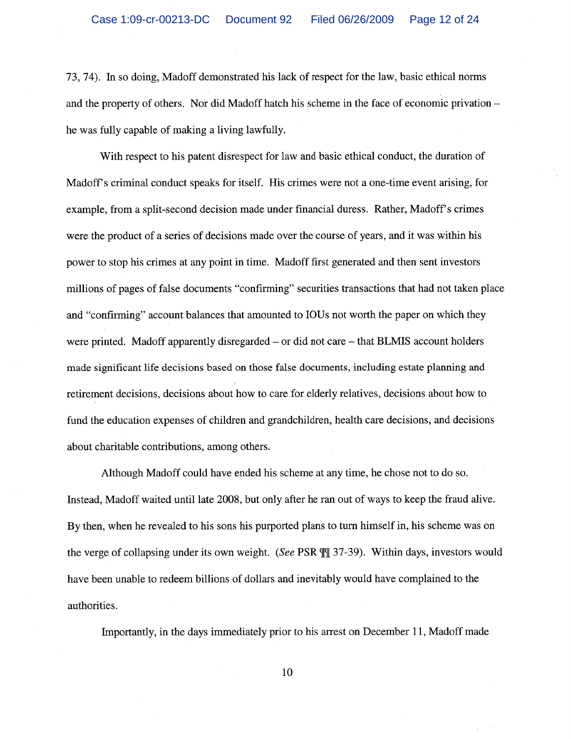73, 74). In so doing, Madoff demonstrated his lack of respect for the law, basic ethical norms and the property of others. Nor did Madoff hatch his scheme in the face of economic privation – he was fully capable of making a living lawfully.

With respect to his patent disrespect for law and basic ethical conduct, the duration of Madoff's criminal conduct speaks for itself. His crimes were not a one-time event arising, for example, from a split-second decision made under financial duress. Rather, Madoff's crimes were the product of a series of decisions made over the course of years, and it was within his power to stop his crimes at any point in time. Madoff first generated and then sent investors millions of pages of false documents "confirming" securities transactions that had not taken place and "confirming" account balances that amounted to IOUs not worth the paper on which they were printed. Madoff apparently disregarded – or did not care – that BLMIS account holders made significant life decisions based on those false documents, including estate planning and retirement decisions, decisions about how to care for elderly relatives, decisions about how to fund the education expenses of children and grandchildren, health care decisions, and decisions about charitable contributions, among others.

Although Madoff could have ended his scheme at any time, he chose not to do so. Instead, Madoff waited until late 2008, but only after he ran out of ways to keep the fraud alive. By then, when he revealed to his sons his purported plans to turn himself in, his scheme was on the verge of collapsing under its own weight. (See PSR TI 37-39). Within days, investors would have been unable to redeem billions of dollars and inevitably would have complained to the authorities.

Importantly, in the days immediately prior to his arrest on December 11, Madoff made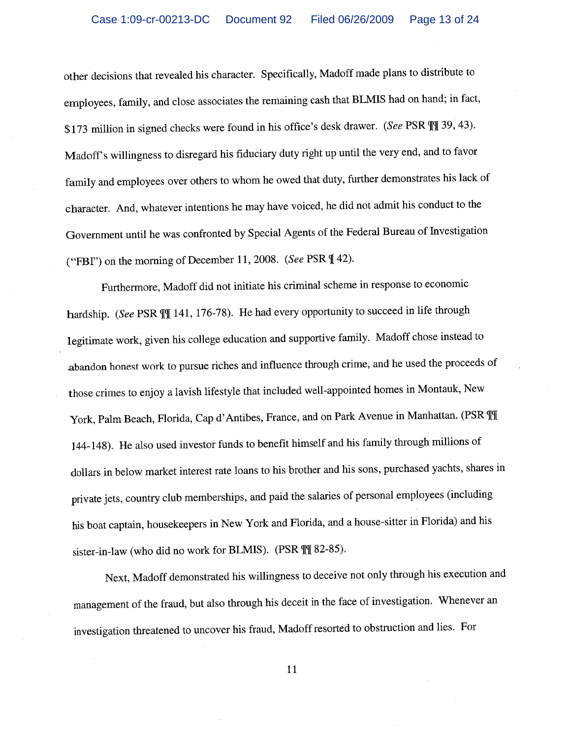other decisions that revealed his character. Specifically, Madoff made plans to distribute to employees, family, and close associates the remaining cash that BLMIS had on hand; in fact, \$173 million in signed checks were found in his office's desk drawer. (See PSR  $\P$ ] 39, 43). Madoff's willingness to disregard his fiduciary duty right up until the very end, and to favor family and employees over others to whom he owed that duty, further demonstrates his lack of character. And, whatever intentions he may have voiced, he did not admit his conduct to the Government until he was confronted by Special Agents of the Federal Bureau of Investigation ("FBI") on the morning of December 11, 2008. (See PSR ¶ 42).

Furthermore, Madoff did not initiate his criminal scheme in response to economic hardship. (See PSR III 141, 176-78). He had every opportunity to succeed in life through legitimate work, given his college education and supportive family. Madoff chose instead to abandon honest work to pursue riches and influence through crime, and he used the proceeds of those crimes to enjoy a lavish lifestyle that included well-appointed homes in Montauk, New York, Palm Beach, Florida, Cap d'Antibes, France, and on Park Avenue in Manhattan. (PSR ¶ 144-148). He also used investor funds to benefit himself and his family through millions of dollars in below market interest rate loans to his brother and his sons, purchased yachts, shares in private jets, country club memberships, and paid the salaries of personal employees (including his boat captain, housekeepers in New York and Florida, and a house-sitter in Florida) and his sister-in-law (who did no work for BLMIS). (PSR \[\[ 82-85).

Next, Madoff demonstrated his willingness to deceive not only through his execution and management of the fraud, but also through his deceit in the face of investigation. Whenever an investigation threatened to uncover his fraud, Madoff resorted to obstruction and lies. For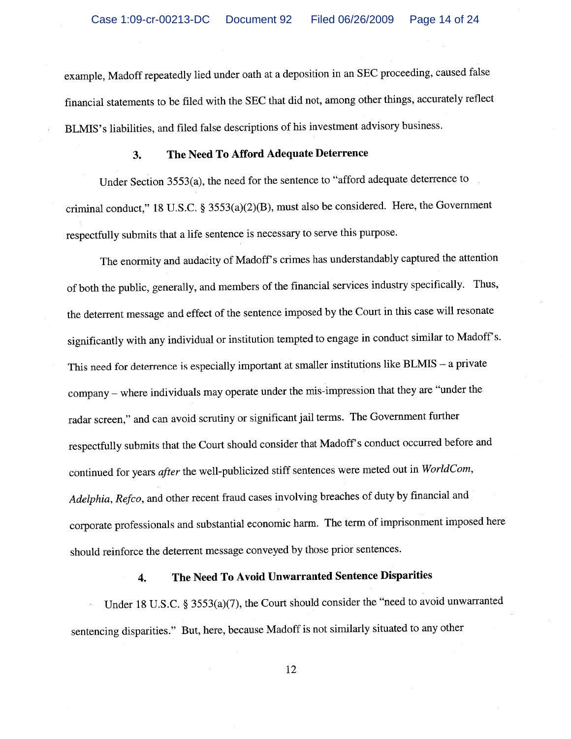example, Madoff repeatedly lied under oath at a deposition in an SEC proceeding, caused false financial statements to be filed with the SEC that did not, among other things, accurately reflect BLMIS's liabilities, and filed false descriptions of his investment advisory business.

#### The Need To Afford Adequate Deterrence  $3.$

Under Section 3553(a), the need for the sentence to "afford adequate deterrence to criminal conduct," 18 U.S.C. § 3553(a)(2)(B), must also be considered. Here, the Government respectfully submits that a life sentence is necessary to serve this purpose.

The enormity and audacity of Madoff's crimes has understandably captured the attention of both the public, generally, and members of the financial services industry specifically. Thus, the deterrent message and effect of the sentence imposed by the Court in this case will resonate significantly with any individual or institution tempted to engage in conduct similar to Madoff's. This need for deterrence is especially important at smaller institutions like BLMIS - a private company - where individuals may operate under the mis-impression that they are "under the radar screen," and can avoid scrutiny or significant jail terms. The Government further respectfully submits that the Court should consider that Madoff's conduct occurred before and continued for years after the well-publicized stiff sentences were meted out in WorldCom, Adelphia, Refco, and other recent fraud cases involving breaches of duty by financial and corporate professionals and substantial economic harm. The term of imprisonment imposed here should reinforce the deterrent message conveyed by those prior sentences.

### The Need To Avoid Unwarranted Sentence Disparities 4.

Under 18 U.S.C. § 3553(a)(7), the Court should consider the "need to avoid unwarranted sentencing disparities." But, here, because Madoff is not similarly situated to any other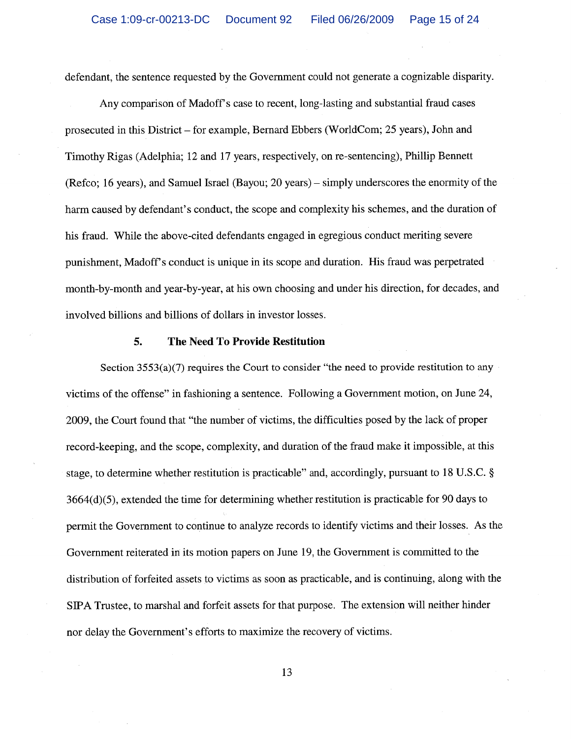defendant, the sentence requested by the Government could not generate a cognizable disparity.

Any comparison of Madoff's case to recent, long-lasting and substantial fraud cases prosecuted in this District – for example, Bernard Ebbers (WorldCom; 25 years), John and Timothy Rigas (Adelphia; 12 and 17 years, respectively, on re-sentencing), Phillip Bennett (Refco; 16 years), and Samuel Israel (Bayou; 20 years) – simply underscores the enormity of the harm caused by defendant's conduct, the scope and complexity his schemes, and the duration of his fraud. While the above-cited defendants engaged in egregious conduct meriting severe punishment, Madoff's conduct is unique in its scope and duration. His fraud was perpetrated month-by-month and year-by-year, at his own choosing and under his direction, for decades, and involved billions and billions of dollars in investor losses.

#### 5. **The Need To Provide Restitution**

Section 3553(a)(7) requires the Court to consider "the need to provide restitution to any victims of the offense" in fashioning a sentence. Following a Government motion, on June 24, 2009, the Court found that "the number of victims, the difficulties posed by the lack of proper record-keeping, and the scope, complexity, and duration of the fraud make it impossible, at this stage, to determine whether restitution is practicable" and, accordingly, pursuant to 18 U.S.C. §  $3664(d)(5)$ , extended the time for determining whether restitution is practicable for 90 days to permit the Government to continue to analyze records to identify victims and their losses. As the Government reiterated in its motion papers on June 19, the Government is committed to the distribution of forfeited assets to victims as soon as practicable, and is continuing, along with the SIPA Trustee, to marshal and forfeit assets for that purpose. The extension will neither hinder nor delay the Government's efforts to maximize the recovery of victims.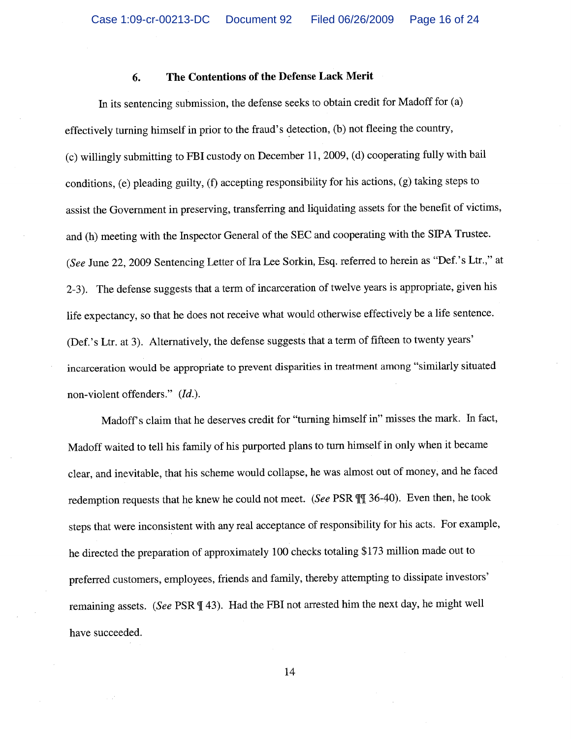#### The Contentions of the Defense Lack Merit 6.

In its sentencing submission, the defense seeks to obtain credit for Madoff for (a) effectively turning himself in prior to the fraud's detection, (b) not fleeing the country, (c) willingly submitting to FBI custody on December 11, 2009, (d) cooperating fully with bail conditions, (e) pleading guilty, (f) accepting responsibility for his actions, (g) taking steps to assist the Government in preserving, transferring and liquidating assets for the benefit of victims, and (h) meeting with the Inspector General of the SEC and cooperating with the SIPA Trustee. (See June 22, 2009 Sentencing Letter of Ira Lee Sorkin, Esq. referred to herein as "Def.'s Ltr.," at 2-3). The defense suggests that a term of incarceration of twelve years is appropriate, given his life expectancy, so that he does not receive what would otherwise effectively be a life sentence. (Def.'s Ltr. at 3). Alternatively, the defense suggests that a term of fifteen to twenty years' incarceration would be appropriate to prevent disparities in treatment among "similarly situated non-violent offenders." (Id.).

Madoff's claim that he deserves credit for "turning himself in" misses the mark. In fact, Madoff waited to tell his family of his purported plans to turn himself in only when it became clear, and inevitable, that his scheme would collapse, he was almost out of money, and he faced redemption requests that he knew he could not meet. (See PSR III 36-40). Even then, he took steps that were inconsistent with any real acceptance of responsibility for his acts. For example, he directed the preparation of approximately 100 checks totaling \$173 million made out to preferred customers, employees, friends and family, thereby attempting to dissipate investors' remaining assets. (See PSR [43). Had the FBI not arrested him the next day, he might well have succeeded.

14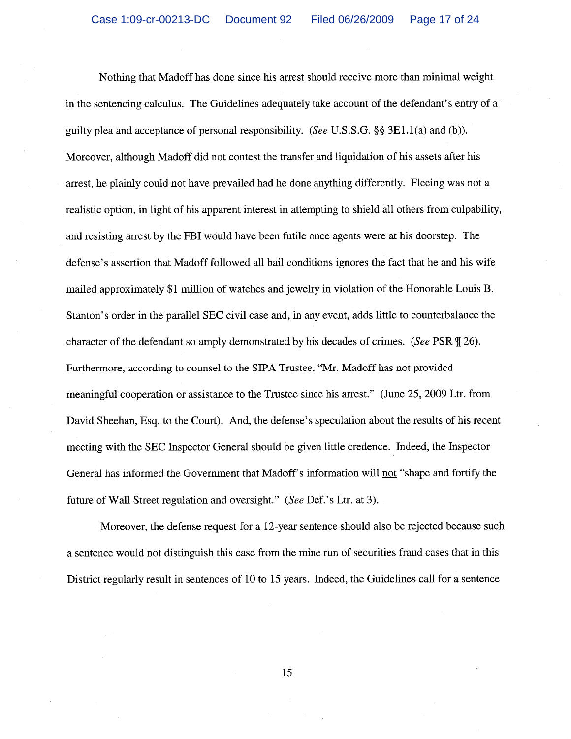Nothing that Madoff has done since his arrest should receive more than minimal weight in the sentencing calculus. The Guidelines adequately take account of the defendant's entry of a guilty plea and acceptance of personal responsibility. (See U.S.S.G. §§ 3E1.1(a) and (b)). Moreover, although Madoff did not contest the transfer and liquidation of his assets after his arrest, he plainly could not have prevailed had he done anything differently. Fleeing was not a realistic option, in light of his apparent interest in attempting to shield all others from culpability, and resisting arrest by the FBI would have been futile once agents were at his doorstep. The defense's assertion that Madoff followed all bail conditions ignores the fact that he and his wife mailed approximately \$1 million of watches and jewelry in violation of the Honorable Louis B. Stanton's order in the parallel SEC civil case and, in any event, adds little to counterbalance the character of the defendant so amply demonstrated by his decades of crimes. (See PSR \le 26). Furthermore, according to counsel to the SIPA Trustee, "Mr. Madoff has not provided meaningful cooperation or assistance to the Trustee since his arrest." (June 25, 2009 Ltr. from David Sheehan, Esq. to the Court). And, the defense's speculation about the results of his recent meeting with the SEC Inspector General should be given little credence. Indeed, the Inspector General has informed the Government that Madoff's information will not "shape and fortify the future of Wall Street regulation and oversight." (See Def.'s Ltr. at 3).

Moreover, the defense request for a 12-year sentence should also be rejected because such a sentence would not distinguish this case from the mine run of securities fraud cases that in this District regularly result in sentences of 10 to 15 years. Indeed, the Guidelines call for a sentence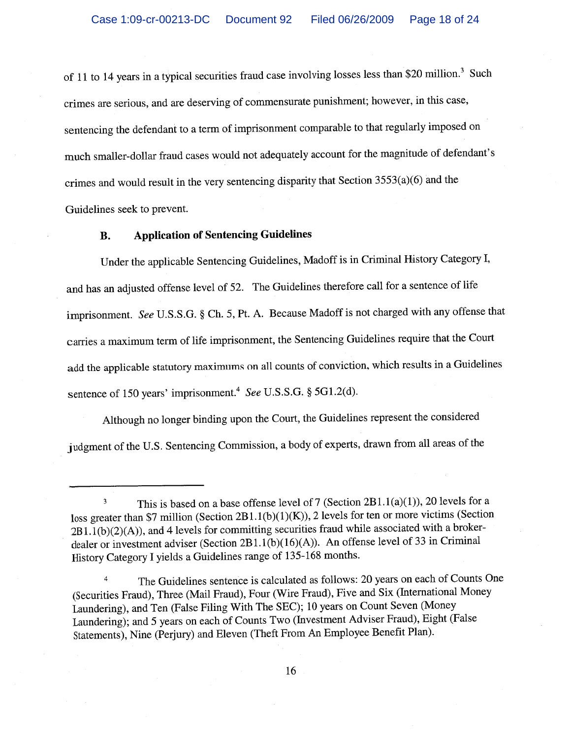of 11 to 14 years in a typical securities fraud case involving losses less than \$20 million.<sup>3</sup> Such crimes are serious, and are deserving of commensurate punishment; however, in this case, sentencing the defendant to a term of imprisonment comparable to that regularly imposed on much smaller-dollar fraud cases would not adequately account for the magnitude of defendant's crimes and would result in the very sentencing disparity that Section 3553(a)(6) and the Guidelines seek to prevent.

#### **Application of Sentencing Guidelines B.**

Under the applicable Sentencing Guidelines, Madoff is in Criminal History Category I, and has an adjusted offense level of 52. The Guidelines therefore call for a sentence of life imprisonment. See U.S.S.G. § Ch. 5, Pt. A. Because Madoff is not charged with any offense that carries a maximum term of life imprisonment, the Sentencing Guidelines require that the Court add the applicable statutory maximums on all counts of conviction, which results in a Guidelines sentence of 150 years' imprisonment.<sup>4</sup> See U.S.S.G. § 5G1.2(d).

Although no longer binding upon the Court, the Guidelines represent the considered judgment of the U.S. Sentencing Commission, a body of experts, drawn from all areas of the

This is based on a base offense level of 7 (Section 2B1.1(a)(1)), 20 levels for a  $\overline{\mathbf{3}}$ loss greater than \$7 million (Section 2B1.1(b)(1)(K)), 2 levels for ten or more victims (Section  $2B1.1(b)(2)(A)$ , and 4 levels for committing securities fraud while associated with a brokerdealer or investment adviser (Section 2B1.1(b)(16)(A)). An offense level of 33 in Criminal History Category I yields a Guidelines range of 135-168 months.

The Guidelines sentence is calculated as follows: 20 years on each of Counts One  $\overline{4}$ (Securities Fraud), Three (Mail Fraud), Four (Wire Fraud), Five and Six (International Money Laundering), and Ten (False Filing With The SEC); 10 years on Count Seven (Money Laundering); and 5 years on each of Counts Two (Investment Adviser Fraud), Eight (False Statements), Nine (Perjury) and Eleven (Theft From An Employee Benefit Plan).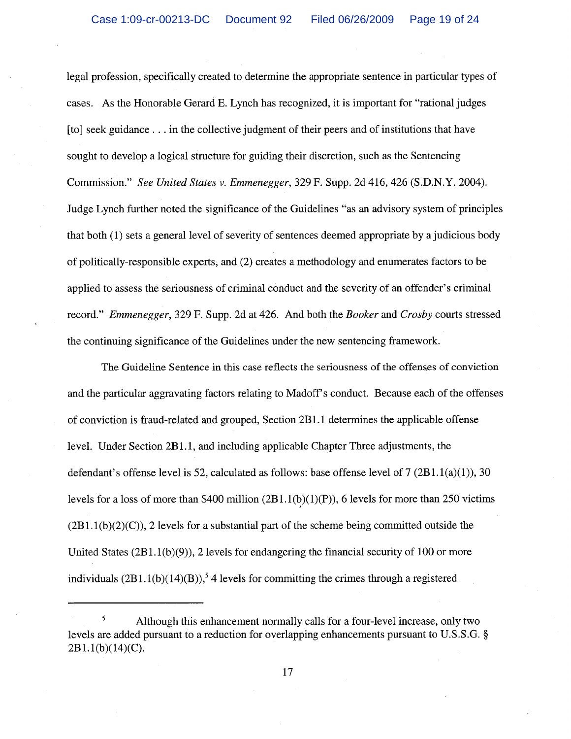legal profession, specifically created to determine the appropriate sentence in particular types of cases. As the Honorable Gerard E. Lynch has recognized, it is important for "rational judges" [to] seek guidance . . . in the collective judgment of their peers and of institutions that have sought to develop a logical structure for guiding their discretion, such as the Sentencing Commission." See United States v. Emmenegger, 329 F. Supp. 2d 416, 426 (S.D.N.Y. 2004). Judge Lynch further noted the significance of the Guidelines "as an advisory system of principles that both (1) sets a general level of severity of sentences deemed appropriate by a judicious body of politically-responsible experts, and (2) creates a methodology and enumerates factors to be applied to assess the seriousness of criminal conduct and the severity of an offender's criminal record." *Emmenegger*, 329 F. Supp. 2d at 426. And both the *Booker* and *Crosby* courts stressed the continuing significance of the Guidelines under the new sentencing framework.

The Guideline Sentence in this case reflects the seriousness of the offenses of conviction and the particular aggravating factors relating to Madoff's conduct. Because each of the offenses of conviction is fraud-related and grouped, Section 2B1.1 determines the applicable offense level. Under Section 2B1.1, and including applicable Chapter Three adjustments, the defendant's offense level is 52, calculated as follows: base offense level of  $7(2B1.1(a)(1)), 30$ levels for a loss of more than \$400 million  $(2B1.1(b)(1)(P))$ , 6 levels for more than 250 victims  $(2B1.1(b)(2)(C))$ , 2 levels for a substantial part of the scheme being committed outside the United States  $(2B1.1(b)(9))$ , 2 levels for endangering the financial security of 100 or more individuals  $(2B1.1(b)(14)(B))$ ,<sup>5</sup> 4 levels for committing the crimes through a registered

<sup>5</sup> Although this enhancement normally calls for a four-level increase, only two levels are added pursuant to a reduction for overlapping enhancements pursuant to U.S.S.G. §  $2B1.1(b)(14)(C)$ .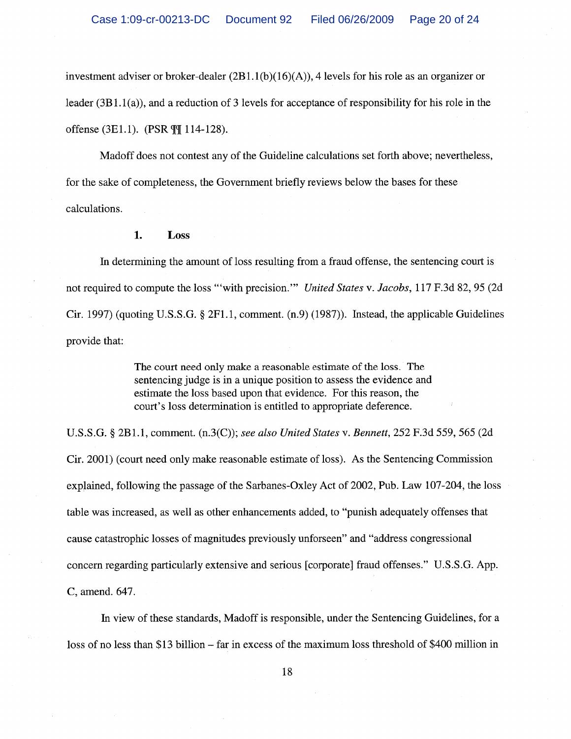investment adviser or broker-dealer  $(2B1.1(b)(16)(A))$ , 4 levels for his role as an organizer or leader  $(3B1.1(a))$ , and a reduction of 3 levels for acceptance of responsibility for his role in the offense (3E1.1). (PSR  $\P$ [114-128).

Madoff does not contest any of the Guideline calculations set forth above; nevertheless, for the sake of completeness, the Government briefly reviews below the bases for these calculations.

#### 1. Loss

In determining the amount of loss resulting from a fraud offense, the sentencing court is not required to compute the loss "'with precision." United States v. Jacobs, 117 F.3d 82, 95 (2d) Cir. 1997) (quoting U.S.S.G.  $\S 2F1.1$ , comment. (n.9) (1987)). Instead, the applicable Guidelines provide that:

> The court need only make a reasonable estimate of the loss. The sentencing judge is in a unique position to assess the evidence and estimate the loss based upon that evidence. For this reason, the court's loss determination is entitled to appropriate deference.

U.S.S.G. § 2B1.1, comment. (n.3(C)); see also United States v. Bennett, 252 F.3d 559, 565 (2d Cir. 2001) (court need only make reasonable estimate of loss). As the Sentencing Commission explained, following the passage of the Sarbanes-Oxley Act of 2002, Pub. Law 107-204, the loss table was increased, as well as other enhancements added, to "punish adequately offenses that cause catastrophic losses of magnitudes previously unforseen" and "address congressional concern regarding particularly extensive and serious [corporate] fraud offenses." U.S.S.G. App. C, amend. 647.

In view of these standards, Madoff is responsible, under the Sentencing Guidelines, for a loss of no less than \$13 billion – far in excess of the maximum loss threshold of \$400 million in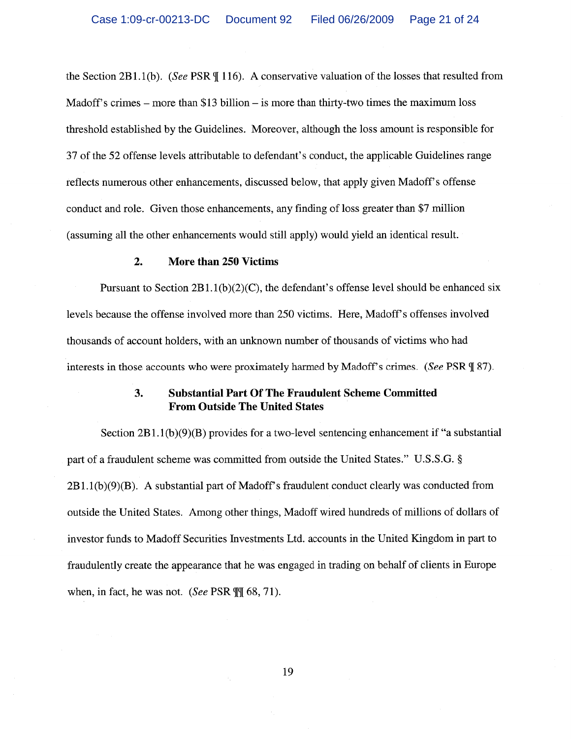the Section 2B1.1(b). (See PSR  $\P$  116). A conservative valuation of the losses that resulted from Madoff's crimes – more than  $$13$  billion – is more than thirty-two times the maximum loss threshold established by the Guidelines. Moreover, although the loss amount is responsible for 37 of the 52 offense levels attributable to defendant's conduct, the applicable Guidelines range reflects numerous other enhancements, discussed below, that apply given Madoff's offense conduct and role. Given those enhancements, any finding of loss greater than \$7 million (assuming all the other enhancements would still apply) would yield an identical result.

#### $2.$ **More than 250 Victims**

Pursuant to Section  $2B1.1(b)(2)(C)$ , the defendant's offense level should be enhanced six levels because the offense involved more than 250 victims. Here, Madoff's offenses involved thousands of account holders, with an unknown number of thousands of victims who had interests in those accounts who were proximately harmed by Madoff's crimes. (See PSR ¶ 87).

### 3. **Substantial Part Of The Fraudulent Scheme Committed From Outside The United States**

Section  $2B1.1(b)(9)(B)$  provides for a two-level sentencing enhancement if "a substantial" part of a fraudulent scheme was committed from outside the United States." U.S.S.G. §  $2B1.1(b)(9)(B)$ . A substantial part of Madoff's fraudulent conduct clearly was conducted from outside the United States. Among other things, Madoff wired hundreds of millions of dollars of investor funds to Madoff Securities Investments Ltd. accounts in the United Kingdom in part to fraudulently create the appearance that he was engaged in trading on behalf of clients in Europe when, in fact, he was not. (See PSR  $\P$  $\parallel$  68, 71).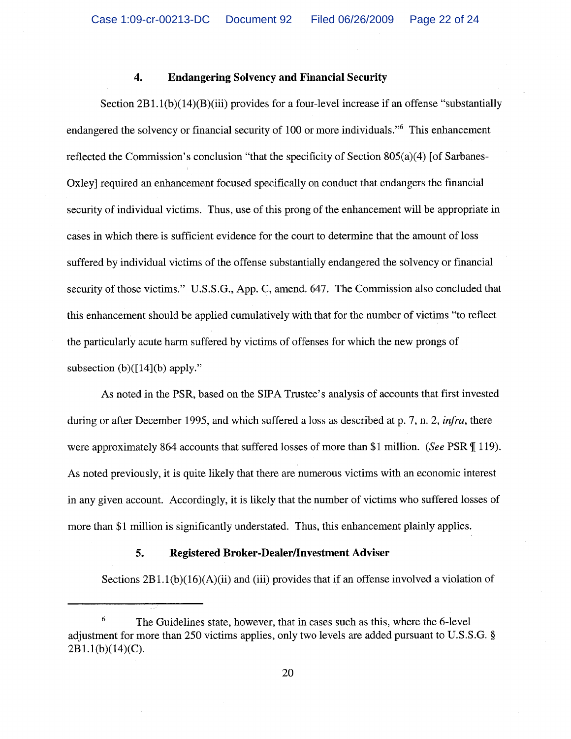#### $\boldsymbol{4}$ . **Endangering Solvency and Financial Security**

Section  $2B1.1(b)(14)(B)(iii)$  provides for a four-level increase if an offense "substantially endangered the solvency or financial security of 100 or more individuals." This enhancement reflected the Commission's conclusion "that the specificity of Section  $805(a)(4)$  [of Sarbanes-Oxley] required an enhancement focused specifically on conduct that endangers the financial security of individual victims. Thus, use of this prong of the enhancement will be appropriate in cases in which there is sufficient evidence for the court to determine that the amount of loss suffered by individual victims of the offense substantially endangered the solvency or financial security of those victims." U.S.S.G., App. C, amend. 647. The Commission also concluded that this enhancement should be applied cumulatively with that for the number of victims "to reflect the particularly acute harm suffered by victims of offenses for which the new prongs of subsection (b) $([14](b)$  apply."

As noted in the PSR, based on the SIPA Trustee's analysis of accounts that first invested during or after December 1995, and which suffered a loss as described at p. 7, n. 2, *infra*, there were approximately 864 accounts that suffered losses of more than \$1 million. (See PSR ¶ 119). As noted previously, it is quite likely that there are numerous victims with an economic interest in any given account. Accordingly, it is likely that the number of victims who suffered losses of more than \$1 million is significantly understated. Thus, this enhancement plainly applies.

#### 5. **Registered Broker-Dealer/Investment Adviser**

Sections  $2B1.1(b)(16)(A)(ii)$  and (iii) provides that if an offense involved a violation of

<sup>6</sup> The Guidelines state, however, that in cases such as this, where the 6-level adjustment for more than 250 victims applies, only two levels are added pursuant to U.S.S.G. §  $2B1.1(b)(14)(C)$ .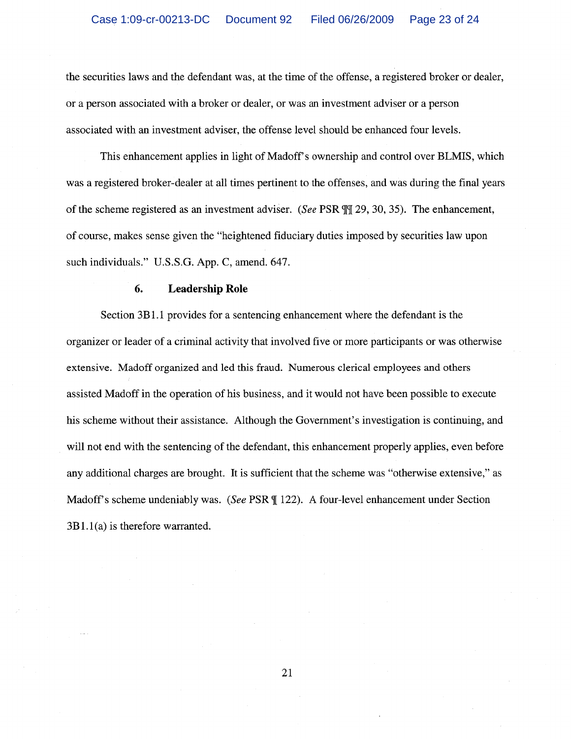the securities laws and the defendant was, at the time of the offense, a registered broker or dealer, or a person associated with a broker or dealer, or was an investment adviser or a person associated with an investment adviser, the offense level should be enhanced four levels.

This enhancement applies in light of Madoff's ownership and control over BLMIS, which was a registered broker-dealer at all times pertinent to the offenses, and was during the final years of the scheme registered as an investment adviser. (See PSR TT 29, 30, 35). The enhancement, of course, makes sense given the "heightened fiduciary duties imposed by securities law upon such individuals." U.S.S.G. App. C, amend. 647.

#### **Leadership Role** 6.

Section 3B1.1 provides for a sentencing enhancement where the defendant is the organizer or leader of a criminal activity that involved five or more participants or was otherwise extensive. Madoff organized and led this fraud. Numerous clerical employees and others assisted Madoff in the operation of his business, and it would not have been possible to execute his scheme without their assistance. Although the Government's investigation is continuing, and will not end with the sentencing of the defendant, this enhancement properly applies, even before any additional charges are brought. It is sufficient that the scheme was "otherwise extensive," as Madoff's scheme undeniably was. (See PSR ¶ 122). A four-level enhancement under Section  $3B1.1(a)$  is therefore warranted.